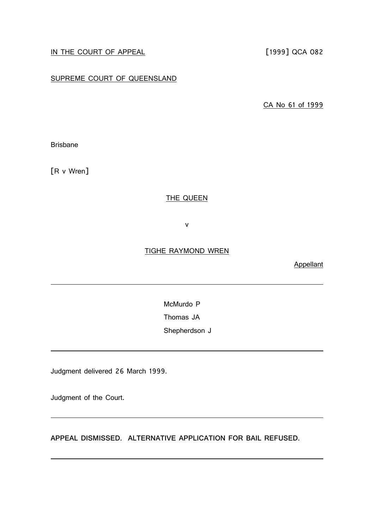# IN THE COURT OF APPEAL [1999] QCA 082

## SUPREME COURT OF QUEENSLAND

CA No 61 of 1999

Brisbane

[R v Wren]

## THE QUEEN

v

### TIGHE RAYMOND WREN

**Appellant** 

McMurdo P

Thomas JA

Shepherdson J

Judgment delivered 26 March 1999.

Judgment of the Court.

**APPEAL DISMISSED. ALTERNATIVE APPLICATION FOR BAIL REFUSED.**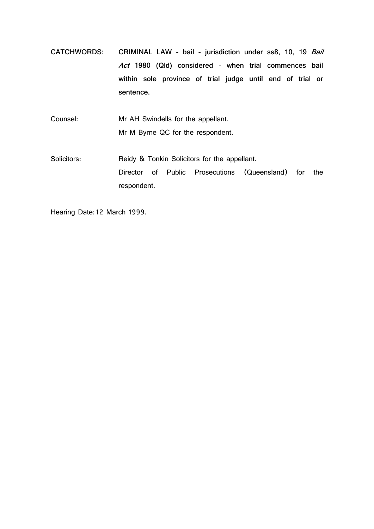**CATCHWORDS: CRIMINAL LAW - bail - jurisdiction under ss8, 10, 19** *Bail Act* **1980 (Qld) considered - when trial commences bail within sole province of trial judge until end of trial or sentence.**

Counsel: Mr AH Swindells for the appellant. Mr M Byrne QC for the respondent.

Solicitors: Reidy & Tonkin Solicitors for the appellant. Director of Public Prosecutions (Queensland) for the respondent.

Hearing Date: 12 March 1999.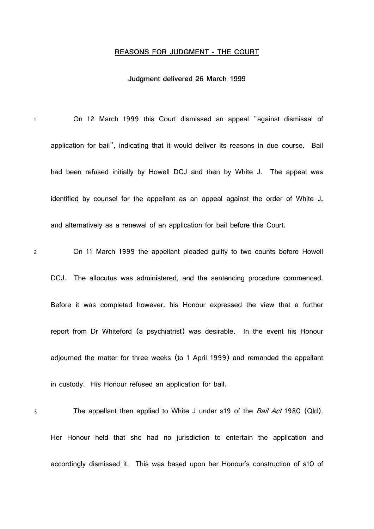#### **REASONS FOR JUDGMENT - THE COURT**

#### **Judgment delivered 26 March 1999**

1 On 12 March 1999 this Court dismissed an appeal "against dismissal of application for bail", indicating that it would deliver its reasons in due course. Bail had been refused initially by Howell DCJ and then by White J. The appeal was identified by counsel for the appellant as an appeal against the order of White J, and alternatively as a renewal of an application for bail before this Court.

2 On 11 March 1999 the appellant pleaded guilty to two counts before Howell

DCJ. The allocutus was administered, and the sentencing procedure commenced. Before it was completed however, his Honour expressed the view that a further report from Dr Whiteford (a psychiatrist) was desirable. In the event his Honour adjourned the matter for three weeks (to 1 April 1999) and remanded the appellant in custody. His Honour refused an application for bail.

3 The appellant then applied to White J under s19 of the *Bail Act* 1980 (Qld). Her Honour held that she had no jurisdiction to entertain the application and accordingly dismissed it. This was based upon her Honour's construction of s10 of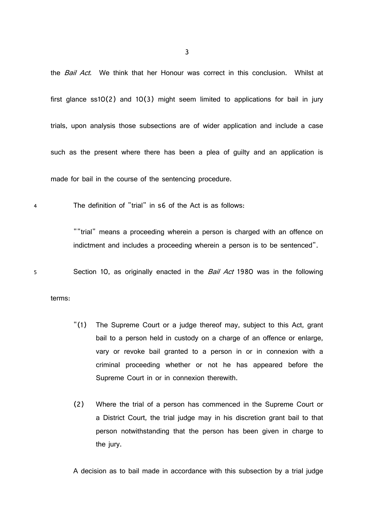the *Bail Act*. We think that her Honour was correct in this conclusion. Whilst at first glance ss10(2) and 10(3) might seem limited to applications for bail in jury trials, upon analysis those subsections are of wider application and include a case such as the present where there has been a plea of guilty and an application is made for bail in the course of the sentencing procedure.

4 The definition of "trial" in s6 of the Act is as follows:

""trial" means a proceeding wherein a person is charged with an offence on indictment and includes a proceeding wherein a person is to be sentenced".

5 Section 10, as originally enacted in the *Bail Act* 1980 was in the following

terms:

- "(1) The Supreme Court or a judge thereof may, subject to this Act, grant bail to a person held in custody on a charge of an offence or enlarge, vary or revoke bail granted to a person in or in connexion with a criminal proceeding whether or not he has appeared before the Supreme Court in or in connexion therewith.
- (2) Where the trial of a person has commenced in the Supreme Court or a District Court, the trial judge may in his discretion grant bail to that person notwithstanding that the person has been given in charge to the jury.

A decision as to bail made in accordance with this subsection by a trial judge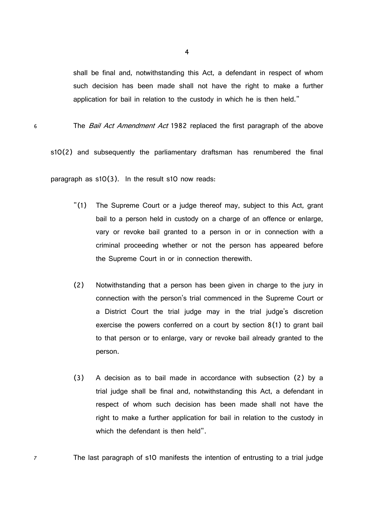shall be final and, notwithstanding this Act, a defendant in respect of whom such decision has been made shall not have the right to make a further application for bail in relation to the custody in which he is then held."

6 The *Bail Act Amendment Act* 1982 replaced the first paragraph of the above

s10(2) and subsequently the parliamentary draftsman has renumbered the final

paragraph as s10(3). In the result s10 now reads:

- "(1) The Supreme Court or a judge thereof may, subject to this Act, grant bail to a person held in custody on a charge of an offence or enlarge, vary or revoke bail granted to a person in or in connection with a criminal proceeding whether or not the person has appeared before the Supreme Court in or in connection therewith.
- (2) Notwithstanding that a person has been given in charge to the jury in connection with the person's trial commenced in the Supreme Court or a District Court the trial judge may in the trial judge's discretion exercise the powers conferred on a court by section 8(1) to grant bail to that person or to enlarge, vary or revoke bail already granted to the person.
- (3) A decision as to bail made in accordance with subsection (2) by a trial judge shall be final and, notwithstanding this Act, a defendant in respect of whom such decision has been made shall not have the right to make a further application for bail in relation to the custody in which the defendant is then held".

7 The last paragraph of s10 manifests the intention of entrusting to a trial judge

4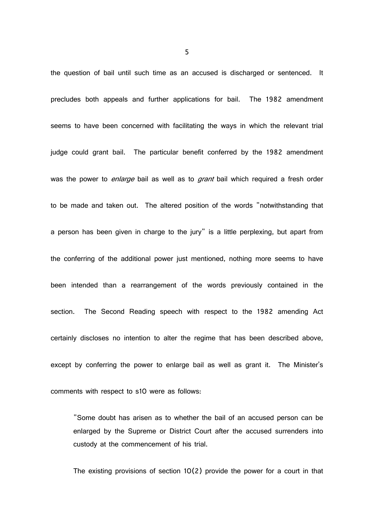the question of bail until such time as an accused is discharged or sentenced. It precludes both appeals and further applications for bail. The 1982 amendment seems to have been concerned with facilitating the ways in which the relevant trial judge could grant bail. The particular benefit conferred by the 1982 amendment was the power to *enlarge* bail as well as to *grant* bail which required a fresh order to be made and taken out. The altered position of the words "notwithstanding that a person has been given in charge to the jury" is a little perplexing, but apart from the conferring of the additional power just mentioned, nothing more seems to have been intended than a rearrangement of the words previously contained in the section. The Second Reading speech with respect to the 1982 amending Act certainly discloses no intention to alter the regime that has been described above, except by conferring the power to enlarge bail as well as grant it. The Minister's comments with respect to s10 were as follows:

"Some doubt has arisen as to whether the bail of an accused person can be enlarged by the Supreme or District Court after the accused surrenders into custody at the commencement of his trial.

The existing provisions of section  $10(2)$  provide the power for a court in that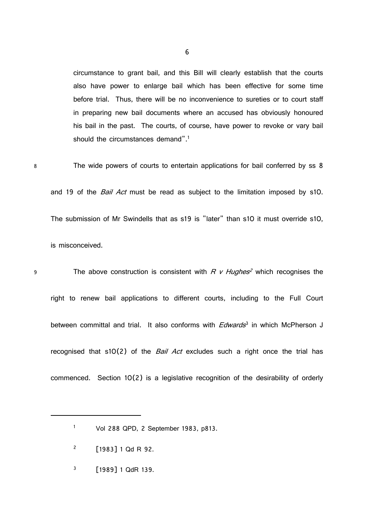circumstance to grant bail, and this Bill will clearly establish that the courts also have power to enlarge bail which has been effective for some time before trial. Thus, there will be no inconvenience to sureties or to court staff in preparing new bail documents where an accused has obviously honoured his bail in the past. The courts, of course, have power to revoke or vary bail should the circumstances demand".<sup>1</sup>

8 The wide powers of courts to entertain applications for bail conferred by ss 8 and 19 of the *Bail Act* must be read as subject to the limitation imposed by s10. The submission of Mr Swindells that as s19 is "later" than s10 it must override s10, is misconceived.

9 The above construction is consistent with *R v Hughes <sup>2</sup>* which recognises the right to renew bail applications to different courts, including to the Full Court between committal and trial. It also conforms with *Edwards* 3 in which McPherson J recognised that s10(2) of the *Bail Act* excludes such a right once the trial has commenced. Section 10(2) is a legislative recognition of the desirability of orderly

6

<sup>1</sup> Vol 288 QPD, 2 September 1983, p813.

<sup>&</sup>lt;sup>2</sup> [1983] 1 Qd R 92.

 $3$  [1989] 1 QdR 139.